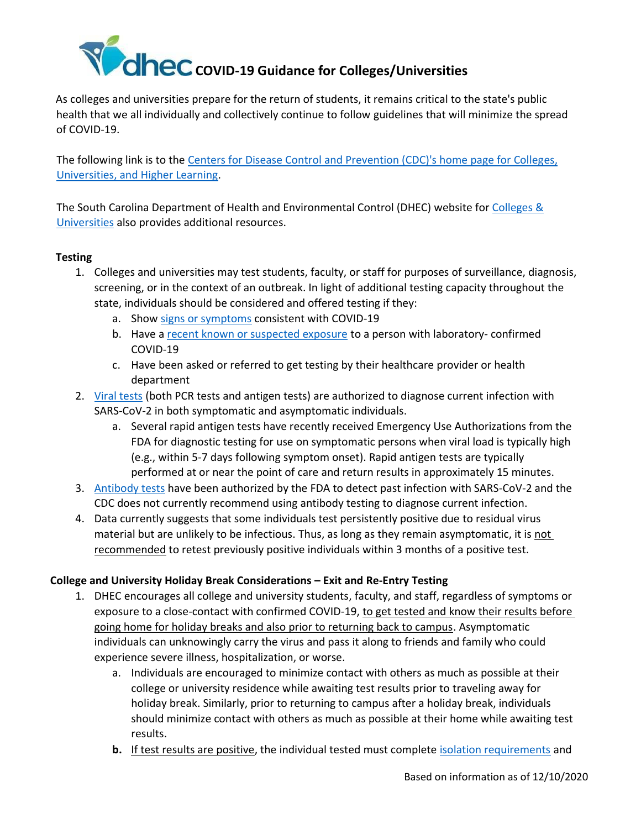

As colleges and universities prepare for the return of students, it remains critical to the state's public health that we all individually and collectively continue to follow guidelines that will minimize the spread of COVID-19.

The following link is to the [Centers for Disease Control and Prevention \(CDC\)'s home page for Colleges,](https://www.cdc.gov/coronavirus/2019-ncov/community/colleges-universities/index.html) [Universities, and Higher Learning.](https://www.cdc.gov/coronavirus/2019-ncov/community/colleges-universities/index.html)

[The South Carolina Department of Health and Environmental Control \(DHEC\) w](https://scdhec.gov/environmental-regulatory-assistance-covid-19)ebsite for [Colleges &](https://scdhec.gov/infectious-diseases/viruses/coronavirus-disease-2019-covid-19/colleges-universities-covid-19) [Universities](https://scdhec.gov/infectious-diseases/viruses/coronavirus-disease-2019-covid-19/colleges-universities-covid-19) also provides additional resources.

## **Testing**

- 1. Colleges and universities may test students, faculty, or staff for purposes of surveillance, diagnosis, screening, or in the context of an outbreak. In light of additional testing capacity throughout the state, individuals should be considered and offered testing if they:
	- a. Show [signs or symptoms](https://www.cdc.gov/coronavirus/2019-ncov/symptoms-testing/symptoms.html) consistent with COVID-19
	- b. Have [a recent known or suspected exposure](https://scdhec.gov/covid19/covid-19-contact-guidance#:~:text=Close%20contact%20is%20defined%20as,(usually%20about%2015%20minutes).) to a person with laboratory- confirmed COVID-19
	- c. Have been asked or referred to get testing by their healthcare provider or health department
- 2. [Viral tests](https://www.cdc.gov/coronavirus/2019-ncov/testing/diagnostic-testing.html) (both PCR tests and antigen tests) are authorized to diagnose current infection with SARS-CoV-2 in both symptomatic and asymptomatic individuals.
	- a. Several rapid antigen tests have recently received Emergency Use Authorizations from the FDA for diagnostic testing for use on symptomatic persons when viral load is typically high (e.g., within 5-7 days following symptom onset). Rapid antigen tests are typically performed at or near the point of care and return results in approximately 15 minutes.
- 3. [Antibody](https://www.cdc.gov/coronavirus/2019-ncov/testing/serology-overview.html) tests have been authorized by the FDA to detect past infection with SARS-CoV-2 and the CDC does not currently recommend using antibody testing to diagnose current infection.
- 4. Data currently suggests that some individuals test persistently positive due to residual virus material but are unlikely to be infectious. Thus, as long as they remain asymptomatic, it is not recommended to retest previously positive individuals within 3 months of a positive test.

### **College and University Holiday Break Considerations – Exit and Re-Entry Testing**

- 1. DHEC encourages all college and university students, faculty, and staff, regardless of symptoms or exposure to a close-contact with confirmed COVID-19, to get tested and know their results before going home for holiday breaks and also prior to returning back to campus. Asymptomatic individuals can unknowingly carry the virus and pass it along to friends and family who could experience severe illness, hospitalization, or worse.
	- a. Individuals are encouraged to minimize contact with others as much as possible at their college or university residence while awaiting test results prior to traveling away for holiday break. Similarly, prior to returning to campus after a holiday break, individuals should minimize contact with others as much as possible at their home while awaiting test results.
	- **b.** If test results are positive, the individual tested must complete [isolation requirements](https://scdhec.gov/sites/default/files/media/document/10473-DHU-09-18-2020-COVID-19.pdf) and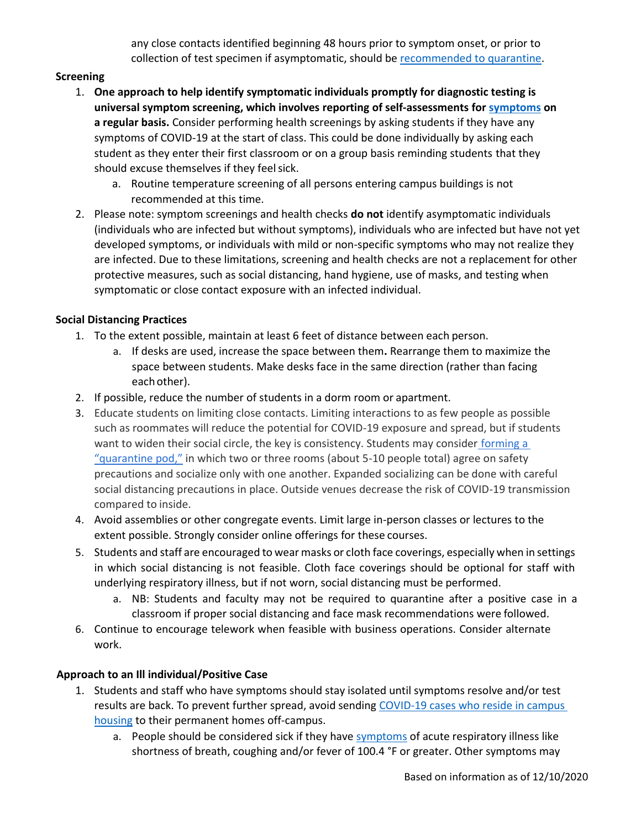any close contacts identified beginning 48 hours prior to symptom onset, or prior to collection of test specimen if asymptomatic, should be [recommended to quarantine.](https://scdhec.gov/sites/default/files/media/document/10473-DHU-09-18-2020-COVID-19.pdf)

# **Screening**

- 1. **One approach to help identify symptomatic individuals promptly for diagnostic testing is universal symptom screening, which involves reporting of self-assessments for [symptoms](https://www.cdc.gov/coronavirus/2019-ncov/symptoms-testing/symptoms.html) on a regular basis.** Consider performing health screenings by asking students if they have any symptoms of COVID-19 at the start of class. This could be done individually by asking each student as they enter their first classroom or on a group basis reminding students that they should excuse themselves if they feelsick.
	- a. Routine temperature screening of all persons entering campus buildings is not recommended at this time.
- 2. Please note: symptom screenings and health checks **do not** identify asymptomatic individuals (individuals who are infected but without symptoms), individuals who are infected but have not yet developed symptoms, or individuals with mild or non-specific symptoms who may not realize they are infected. Due to these limitations, screening and health checks are not a replacement for other protective measures, such as social distancing, hand hygiene, use of masks, and testing when symptomatic or close contact exposure with an infected individual.

## **Social Distancing Practices**

- 1. To the extent possible, maintain at least 6 feet of distance between each person.
	- a. If desks are used, increase the space between them**.** Rearrange them to maximize the space between students. Make desks face in the same direction (rather than facing each other).
- 2. If possible, reduce the number of students in a dorm room or apartment.
- 3. Educate students on limiting close contacts. Limiting interactions to as few people as possible such as roommates will reduce the potential for COVID-19 exposure and spread, but if students want to widen their social circle, the key is consistency. Students may consider forming a ["quarantine pod,"](https://nl.nytimes.com/f/newsletter/R-Wped0dgO4vo3DPv6Z2Kg~~/AAAAAQA~/RgRgwou5P0TnaHR0cHM6Ly93d3cubnl0aW1lcy5jb20vMjAyMC8wNi8wOS9wYXJlbnRpbmcvY29yb25hdmlydXMtcG9kLWZhbWlseS5odG1sP2NhbXBhaWduX2lkPTE1NCZlbWM9ZWRpdF9jYl8yMDIwMDYwOSZpbnN0YW5jZV9pZD0xOTI0NCZubD1jb3JvbmF2aXJ1cy1icmllZmluZyZyZWdpX2lkPTg2NjYyNDAzJnNlZ21lbnRfaWQ9MzA0OTImdGU9MSZ1c2VyX2lkPTIxNTA2ZTE0YTdiOWY1NmZjODJjMmZiMjAyMWVhZWViVwNueXRCCgBAuQbgXkA9eiBSGWplcnJ5LmdpYnNvbi5zY0BnbWFpbC5jb21YBAAAAAA~) in which two or three rooms (about 5-10 people total) agree on safety precautions and socialize only with one another. Expanded socializing can be done with careful social distancing precautions in place. Outside venues decrease the risk of COVID-19 transmission compared to inside.
- 4. Avoid assemblies or other congregate events. Limit large in-person classes or lectures to the extent possible. Strongly consider online offerings for these courses.
- 5. Students and staff are encouraged to wear masks or cloth face coverings, especially when in settings in which social distancing is not feasible. Cloth face coverings should be optional for staff with underlying respiratory illness, but if not worn, social distancing must be performed.
	- a. NB: Students and faculty may not be required to quarantine after a positive case in a classroom if proper social distancing and face mask recommendations were followed.
- 6. Continue to encourage telework when feasible with business operations. Consider alternate work.

# **Approach to an Ill individual/Positive Case**

- 1. Students and staff who have symptoms should stay isolated until symptoms resolve and/or test results are back. To prevent further spread, avoid sending [COVID-19 cases who reside in campus](https://www.cdc.gov/coronavirus/2019-ncov/community/guidance-ihe-response.html)  [housing](https://www.cdc.gov/coronavirus/2019-ncov/community/guidance-ihe-response.html) to their permanent homes off-campus.
	- a. People should be considered sick if they have [symptoms](https://scdhec.gov/covid19/symptoms-covid-19) of acute respiratory illness like shortness of breath, coughing and/or fever of 100.4 °F or greater. Other symptoms may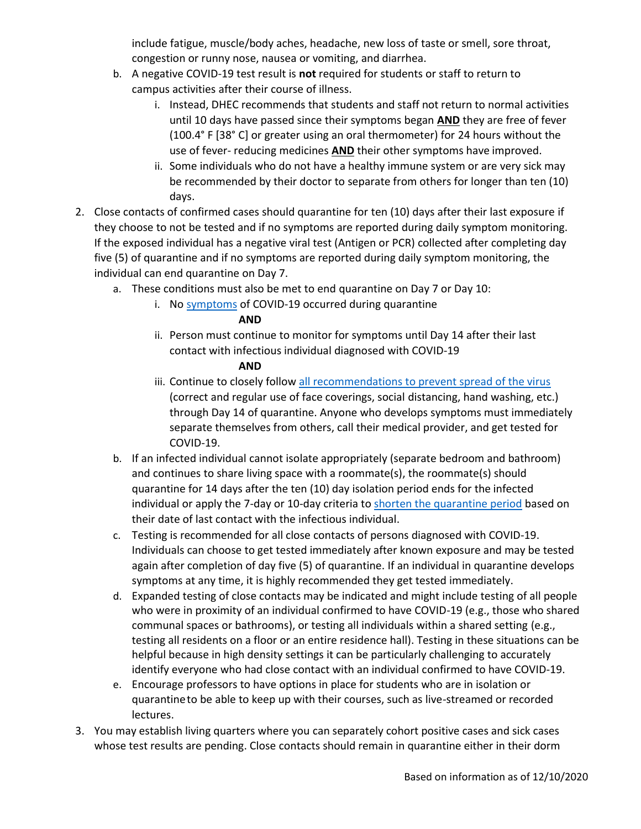include fatigue, muscle/body aches, headache, new loss of taste or smell, sore throat, congestion or runny nose, nausea or vomiting, and diarrhea.

- b. A negative COVID-19 test result is **not** required for students or staff to return to campus activities after their course of illness.
	- i. Instead, DHEC recommends that students and staff not return to normal activities until 10 days have passed since their symptoms began **AND** they are free of fever (100.4° F [38° C] or greater using an oral thermometer) for 24 hours without the use of fever- reducing medicines **AND** their other symptoms have improved.
	- ii. Some individuals who do not have a healthy immune system or are very sick may be recommended by their doctor to separate from others for longer than ten (10) days.
- 2. Close contacts of confirmed cases should quarantine for ten (10) days after their last exposure if they choose to not be tested and if no symptoms are reported during daily symptom monitoring. If the exposed individual has a negative viral test (Antigen or PCR) collected after completing day five (5) of quarantine and if no symptoms are reported during daily symptom monitoring, the individual can end quarantine on Day 7.
	- a. These conditions must also be met to end quarantine on Day 7 or Day 10:
		- i. No [symptoms](https://scdhec.gov/covid19/symptoms-covid-19) of COVID-19 occurred during quarantine

# **AND**

ii. Person must continue to monitor for symptoms until Day 14 after their last contact with infectious individual diagnosed with COVID-19

# **AND**

- iii. Continue to closely follo[w all recommendations to prevent spread of the virus](https://www.cdc.gov/coronavirus/2019-ncov/prevent-getting-sick/prevention.html) (correct and regular use of face coverings, social distancing, hand washing, etc.) through Day 14 of quarantine. Anyone who develops symptoms must immediately separate themselves from others, call their medical provider, and get tested for COVID-19.
- b. If an infected individual cannot isolate appropriately (separate bedroom and bathroom) and continues to share living space with a roommate(s), the roommate(s) should quarantine for 14 days after the ten (10) day isolation period ends for the infected individual or apply the 7-day or 10-day criteria to [shorten the quarantine period](https://scdhec.gov/sites/default/files/media/document/10481-DHU-12-02-2020-COVID-19.pdf) based on their date of last contact with the infectious individual.
- c. Testing is recommended for all close contacts of persons diagnosed with COVID-19. Individuals can choose to get tested immediately after known exposure and may be tested again after completion of day five (5) of quarantine. If an individual in quarantine develops symptoms at any time, it is highly recommended they get tested immediately.
- d. Expanded testing of close contacts may be indicated and might include testing of all people who were in proximity of an individual confirmed to have COVID-19 (e.g., those who shared communal spaces or bathrooms), or testing all individuals within a shared setting (e.g., testing all residents on a floor or an entire residence hall). Testing in these situations can be helpful because in high density settings it can be particularly challenging to accurately identify everyone who had close contact with an individual confirmed to have COVID-19.
- e. Encourage professors to have options in place for students who are in isolation or quarantineto be able to keep up with their courses, such as live-streamed or recorded lectures.
- 3. You may establish living quarters where you can separately cohort positive cases and sick cases whose test results are pending. Close contacts should remain in quarantine either in their dorm